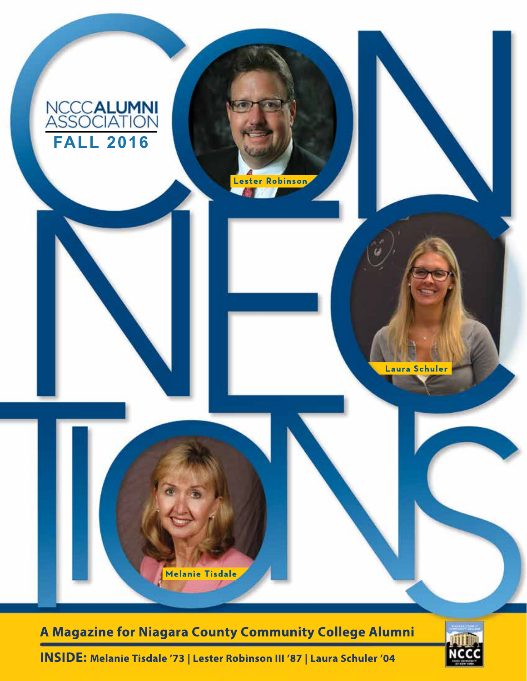

**INSIDE: Melanie Tisdale '73 | Lester Robinson III '87 | Laura Schuler '04**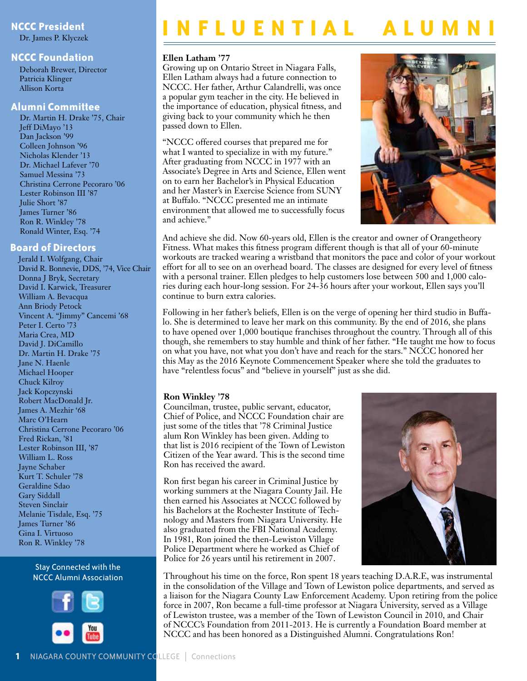Dr. James P. Klyczek

#### **NCCC Foundation**

Deborah Brewer, Director Patricia Klinger Allison Korta

#### **Alumni Committee**

Dr. Martin H. Drake '75, Chair Jeff DiMayo '13 Dan Jackson '99 Colleen Johnson '96 Nicholas Klender '13 Dr. Michael Lafever '70 Samuel Messina '73 Christina Cerrone Pecoraro '06 Lester Robinson III '87 Julie Short '87 James Turner '86 Ron R. Winkley '78 Ronald Winter, Esq. '74

### **Board of Directors**

Jerald I. Wolfgang, Chair David R. Bonnevie, DDS, '74, Vice Chair Donna J Bryk, Secretary David I. Karwick, Treasurer William A. Bevacqua Ann Briody Petock Vincent A. "Jimmy" Cancemi '68 Peter I. Certo '73 Maria Crea, MD David J. DiCamillo Dr. Martin H. Drake '75 Jane N. Haenle Michael Hooper Chuck Kilroy Jack Kopczynski Robert MacDonald Jr. James A. Mezhir '68 Marc O'Hearn Christina Cerrone Pecoraro '06 Fred Rickan, '81 Lester Robinson III, '87 William L. Ross Jayne Schaber Kurt T. Schuler '78 Geraldine Sdao Gary Siddall Steven Sinclair Melanie Tisdale, Esq. '75 James Turner '86 Gina I. Virtuoso Ron R. Winkley '78

#### Stay Connected with the NCCC Alumni Association



# **I I N F L U E N T I A L**

#### **Ellen Latham '77**

Growing up on Ontario Street in Niagara Falls, Ellen Latham always had a future connection to NCCC. Her father, Arthur Calandrelli, was once a popular gym teacher in the city. He believed in the importance of education, physical fitness, and giving back to your community which he then passed down to Ellen.

"NCCC offered courses that prepared me for what I wanted to specialize in with my future." After graduating from NCCC in 1977 with an Associate's Degree in Arts and Science, Ellen went on to earn her Bachelor's in Physical Education and her Master's in Exercise Science from SUNY at Buffalo. "NCCC presented me an intimate environment that allowed me to successfully focus and achieve."



And achieve she did. Now 60-years old, Ellen is the creator and owner of Orangetheory Fitness. What makes this fitness program different though is that all of your 60-minute workouts are tracked wearing a wristband that monitors the pace and color of your workout effort for all to see on an overhead board. The classes are designed for every level of fitness with a personal trainer. Ellen pledges to help customers lose between 500 and 1,000 calories during each hour-long session. For 24-36 hours after your workout, Ellen says you'll continue to burn extra calories.

Following in her father's beliefs, Ellen is on the verge of opening her third studio in Buffalo. She is determined to leave her mark on this community. By the end of 2016, she plans to have opened over 1,000 boutique franchises throughout the country. Through all of this though, she remembers to stay humble and think of her father. "He taught me how to focus on what you have, not what you don't have and reach for the stars." NCCC honored her this May as the 2016 Keynote Commencement Speaker where she told the graduates to have "relentless focus" and "believe in yourself" just as she did.

### **Ron Winkley '78**

Councilman, trustee, public servant, educator, Chief of Police, and NCCC Foundation chair are just some of the titles that '78 Criminal Justice alum Ron Winkley has been given. Adding to that list is 2016 recipient of the Town of Lewiston Citizen of the Year award. This is the second time Ron has received the award.

Ron first began his career in Criminal Justice by working summers at the Niagara County Jail. He then earned his Associates at NCCC followed by his Bachelors at the Rochester Institute of Technology and Masters from Niagara University. He also graduated from the FBI National Academy. In 1981, Ron joined the then-Lewiston Village Police Department where he worked as Chief of Police for 26 years until his retirement in 2007.



Throughout his time on the force, Ron spent 18 years teaching D.A.R.E, was instrumental in the consolidation of the Village and Town of Lewiston police departments, and served as a liaison for the Niagara County Law Enforcement Academy. Upon retiring from the police force in 2007, Ron became a full-time professor at Niagara University, served as a Village of Lewiston trustee, was a member of the Town of Lewiston Council in 2010, and Chair of NCCC's Foundation from 2011-2013. He is currently a Foundation Board member at NCCC and has been honored as a Distinguished Alumni. Congratulations Ron!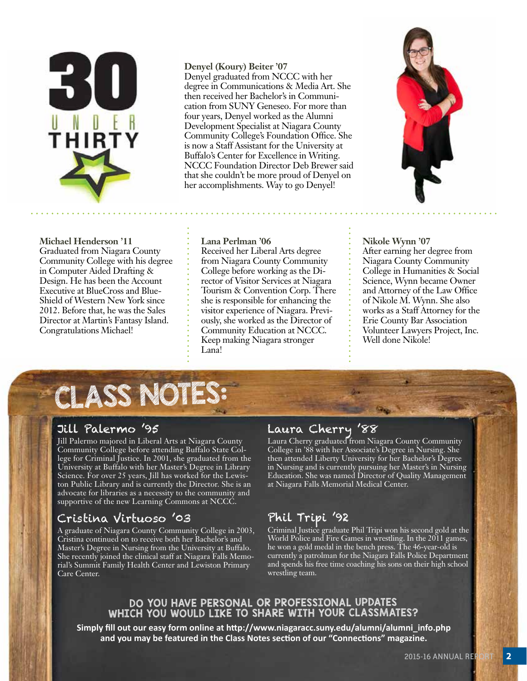

**Michael Henderson '11** Graduated from Niagara County Community College with his degree in Computer Aided Drafting & Design. He has been the Account Executive at BlueCross and Blue-Shield of Western New York since 2012. Before that, he was the Sales Director at Martin's Fantasy Island. Congratulations Michael!

### **Denyel (Koury) Beiter '07**

**Lana Perlman '06**

Lana!

Received her Liberal Arts degree from Niagara County Community College before working as the Director of Visitor Services at Niagara Tourism & Convention Corp. There she is responsible for enhancing the visitor experience of Niagara. Previously, she worked as the Director of Community Education at NCCC. Keep making Niagara stronger

Denyel graduated from NCCC with her degree in Communications & Media Art. She then received her Bachelor's in Communication from SUNY Geneseo. For more than four years, Denyel worked as the Alumni Development Specialist at Niagara County Community College's Foundation Office. She is now a Staff Assistant for the University at Buffalo's Center for Excellence in Writing. NCCC Foundation Director Deb Brewer said that she couldn't be more proud of Denyel on her accomplishments. Way to go Denyel!



**Nikole Wynn '07** After earning her degree from Niagara County Community College in Humanities & Social Science, Wynn became Owner and Attorney of the Law Office of Nikole M. Wynn. She also works as a Staff Attorney for the Erie County Bar Association Volunteer Lawyers Project, Inc. Well done Nikole!

# CLASS NOTES:

# Jill Palermo '95

Jill Palermo majored in Liberal Arts at Niagara County Community College before attending Buffalo State College for Criminal Justice. In 2001, she graduated from the University at Buffalo with her Master's Degree in Library Science. For over 25 years, Jill has worked for the Lewiston Public Library and is currently the Director. She is an advocate for libraries as a necessity to the community and supportive of the new Learning Commons at NCCC.

# Cristina Virtuoso '03

A graduate of Niagara County Community College in 2003, Cristina continued on to receive both her Bachelor's and Master's Degree in Nursing from the University at Buffalo. She recently joined the clinical staff at Niagara Falls Memorial's Summit Family Health Center and Lewiston Primary Care Center.

# Laura Cherry '88

Laura Cherry graduated from Niagara County Community College in '88 with her Associate's Degree in Nursing. She then attended Liberty University for her Bachelor's Degree in Nursing and is currently pursuing her Master's in Nursing Education. She was named Director of Quality Management at Niagara Falls Memorial Medical Center.

# Phil Tripi '92

Criminal Justice graduate Phil Tripi won his second gold at the World Police and Fire Games in wrestling. In the 2011 games, he won a gold medal in the bench press. The 46-year-old is currently a patrolman for the Niagara Falls Police Department and spends his free time coaching his sons on their high school wrestling team.

## DO YOU HAVE PERSONAL OR PROFESSIONAL UPDATES WHICH YOU WOULD LIKE TO SHARE WITH YOUR CLASSMATES?

**Simply fill out our easy form online at http://www.niagaracc.suny.edu/alumni/alumni\_info.php and you may be featured in the Class Notes section of our "Connections" magazine.**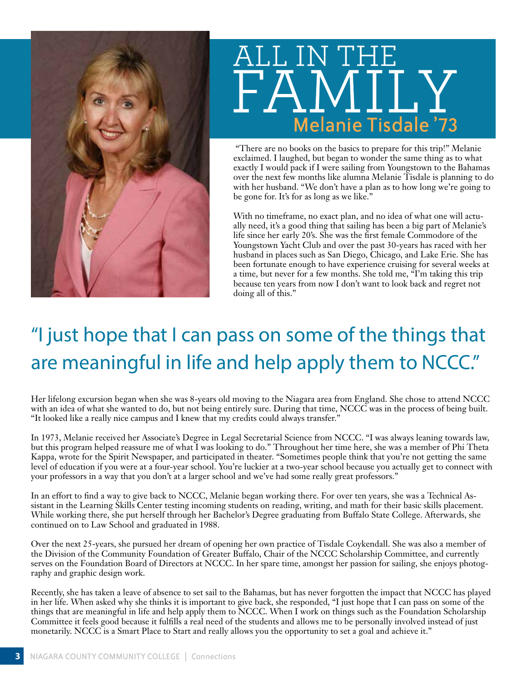



 "There are no books on the basics to prepare for this trip!" Melanie exclaimed. I laughed, but began to wonder the same thing as to what exactly I would pack if I were sailing from Youngstown to the Bahamas over the next few months like alumna Melanie Tisdale is planning to do with her husband. "We don't have a plan as to how long we're going to be gone for. It's for as long as we like."

With no timeframe, no exact plan, and no idea of what one will actually need, it's a good thing that sailing has been a big part of Melanie's life since her early 20's. She was the first female Commodore of the Youngstown Yacht Club and over the past 30-years has raced with her husband in places such as San Diego, Chicago, and Lake Erie. She has been fortunate enough to have experience cruising for several weeks at a time, but never for a few months. She told me, "I'm taking this trip because ten years from now I don't want to look back and regret not doing all of this."

# "I just hope that I can pass on some of the things that are meaningful in life and help apply them to NCCC."

Her lifelong excursion began when she was 8-years old moving to the Niagara area from England. She chose to attend NCCC with an idea of what she wanted to do, but not being entirely sure. During that time, NCCC was in the process of being built. "It looked like a really nice campus and I knew that my credits could always transfer."

In 1973, Melanie received her Associate's Degree in Legal Secretarial Science from NCCC. "I was always leaning towards law, but this program helped reassure me of what I was looking to do." Throughout her time here, she was a member of Phi Theta Kappa, wrote for the Spirit Newspaper, and participated in theater. "Sometimes people think that you're not getting the same level of education if you were at a four-year school. You're luckier at a two-year school because you actually get to connect with your professors in a way that you don't at a larger school and we've had some really great professors."

In an effort to find a way to give back to NCCC, Melanie began working there. For over ten years, she was a Technical Assistant in the Learning Skills Center testing incoming students on reading, writing, and math for their basic skills placement. While working there, she put herself through her Bachelor's Degree graduating from Buffalo State College. Afterwards, she continued on to Law School and graduated in 1988.

Over the next 25-years, she pursued her dream of opening her own practice of Tisdale Coykendall. She was also a member of the Division of the Community Foundation of Greater Buffalo, Chair of the NCCC Scholarship Committee, and currently serves on the Foundation Board of Directors at NCCC. In her spare time, amongst her passion for sailing, she enjoys photography and graphic design work.

Recently, she has taken a leave of absence to set sail to the Bahamas, but has never forgotten the impact that NCCC has played in her life. When asked why she thinks it is important to give back, she responded, "I just hope that I can pass on some of the things that are meaningful in life and help apply them to NCCC. When I work on things such as the Foundation Scholarship Committee it feels good because it fulfills a real need of the students and allows me to be personally involved instead of just monetarily. NCCC is a Smart Place to Start and really allows you the opportunity to set a goal and achieve it."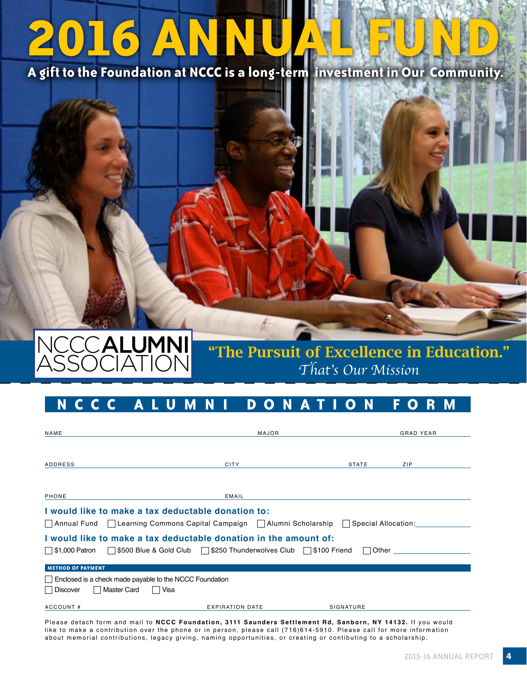# **2016 ANNUAL FUND**

**A gift to the Foundation at NCCC is a long-term investment in Our Community.**



# "The Pursuit of Excellence in Education." *That's Our Mission*

# **N CCC ALUMN I DO NAT I O N F O R M**

| NAME                                                                                                | MAJOR                  |              | <b>GRAD YEAR</b> |
|-----------------------------------------------------------------------------------------------------|------------------------|--------------|------------------|
|                                                                                                     |                        |              |                  |
| ADDRESS                                                                                             | <b>CITY</b>            | <b>STATE</b> | ZIP              |
|                                                                                                     |                        |              |                  |
| PHONE                                                                                               | EMAIL                  |              |                  |
| I would like to make a tax deductable donation to:                                                  |                        |              |                  |
| Annual Fund   Learning Commons Capital Campaign   Alumni Scholarship    <br>Special Allocation:     |                        |              |                  |
| I would like to make a tax deductable donation in the amount of:                                    |                        |              |                  |
| \$500 Blue & Gold Club     \$250 Thunderwolves Club     \$100 Friend<br>    \$1,000 Patron<br>Other |                        |              |                  |
| <b>METHOD OF PAYMENT</b>                                                                            |                        |              |                  |
| Enclosed is a check made payable to the NCCC Foundation                                             |                        |              |                  |
| <b>Master Card</b><br>Discover<br>Visa                                                              |                        |              |                  |
| ACCOUNT#                                                                                            | <b>EXPIRATION DATE</b> | SIGNATURE    |                  |

Please detach form and mail to **NCCC Foundation, 3111 Saunders Settlement Rd, Sanborn, NY 14132.** If you would like to make a contribution over the phone or in person, please call (716)614-5910. Please call for more information about memorial contributions, legacy giving, naming opportunities, or creating or contibuting to a scholarship.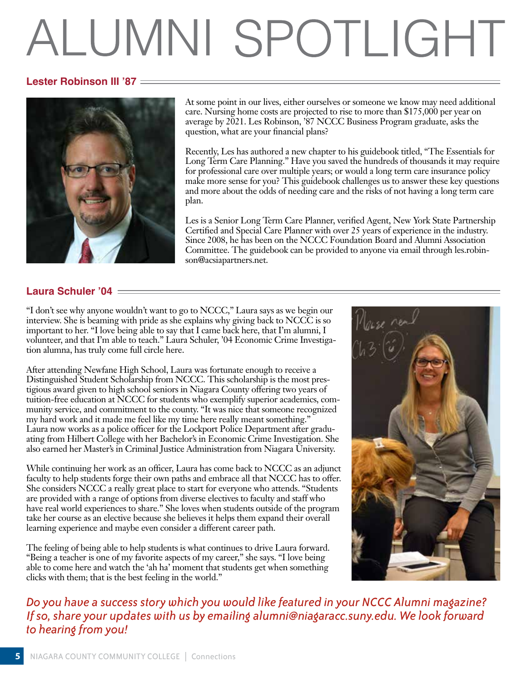# ALUMNI SPOTLIGHT

## **Lester Robinson III '87**



At some point in our lives, either ourselves or someone we know may need additional care. Nursing home costs are projected to rise to more than \$175,000 per year on average by 2021. Les Robinson, '87 NCCC Business Program graduate, asks the question, what are your financial plans?

Recently, Les has authored a new chapter to his guidebook titled, "The Essentials for Long Term Care Planning." Have you saved the hundreds of thousands it may require for professional care over multiple years; or would a long term care insurance policy make more sense for you? This guidebook challenges us to answer these key questions and more about the odds of needing care and the risks of not having a long term care plan.

Les is a Senior Long Term Care Planner, verified Agent, New York State Partnership Certified and Special Care Planner with over 25 years of experience in the industry. Since 2008, he has been on the NCCC Foundation Board and Alumni Association Committee. The guidebook can be provided to anyone via email through les.robinson@acsiapartners.net.

## **Laura Schuler '04**

"I don't see why anyone wouldn't want to go to NCCC," Laura says as we begin our interview. She is beaming with pride as she explains why giving back to NCCC is so important to her. "I love being able to say that I came back here, that I'm alumni, I volunteer, and that I'm able to teach." Laura Schuler, '04 Economic Crime Investigation alumna, has truly come full circle here.

After attending Newfane High School, Laura was fortunate enough to receive a Distinguished Student Scholarship from NCCC. This scholarship is the most prestigious award given to high school seniors in Niagara County offering two years of tuition-free education at NCCC for students who exemplify superior academics, community service, and commitment to the county. "It was nice that someone recognized my hard work and it made me feel like my time here really meant something." Laura now works as a police officer for the Lockport Police Department after graduating from Hilbert College with her Bachelor's in Economic Crime Investigation. She also earned her Master's in Criminal Justice Administration from Niagara University.

While continuing her work as an officer, Laura has come back to NCCC as an adjunct faculty to help students forge their own paths and embrace all that NCCC has to offer. She considers NCCC a really great place to start for everyone who attends. "Students are provided with a range of options from diverse electives to faculty and staff who have real world experiences to share." She loves when students outside of the program take her course as an elective because she believes it helps them expand their overall learning experience and maybe even consider a different career path.

The feeling of being able to help students is what continues to drive Laura forward. "Being a teacher is one of my favorite aspects of my career," she says. "I love being able to come here and watch the 'ah ha' moment that students get when something clicks with them; that is the best feeling in the world."



*Do you have a success story which you would like featured in your NCCC Alumni magazine? If so, share your updates with us by emailing alumni@niagaracc.suny.edu. We look forward to hearing from you!*